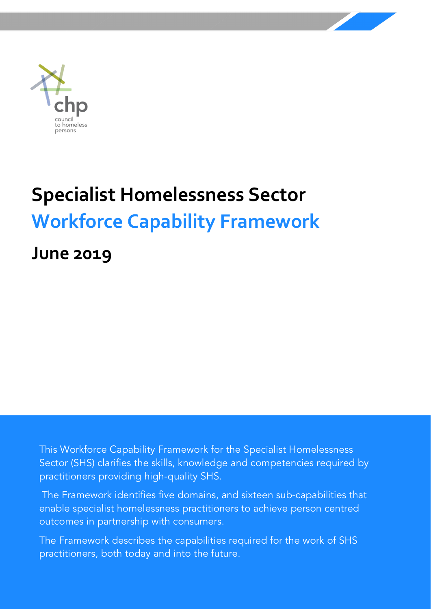

# **Specialist Homelessness Sector Workforce Capability Framework**

**June 2019**

This Workforce Capability Framework for the Specialist Homelessness Sector (SHS) clarifies the skills, knowledge and competencies required by practitioners providing high-quality SHS.

The Framework identifies five domains, and sixteen sub-capabilities that enable specialist homelessness practitioners to achieve person centred outcomes in partnership with consumers.

The Framework describes the capabilities required for the work of SHS practitioners, both today and into the future.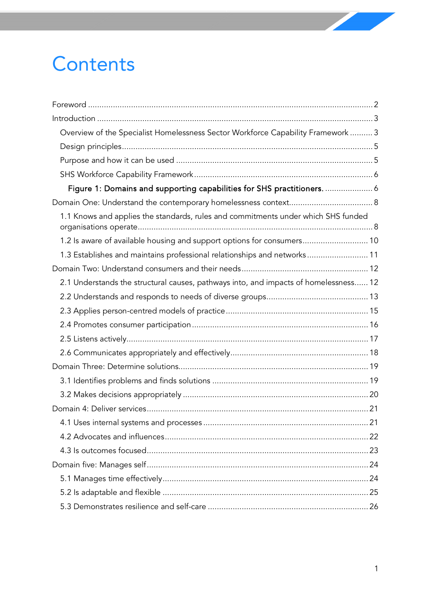# **Contents**

| Overview of the Specialist Homelessness Sector Workforce Capability Framework  3     |  |
|--------------------------------------------------------------------------------------|--|
|                                                                                      |  |
|                                                                                      |  |
|                                                                                      |  |
| Figure 1: Domains and supporting capabilities for SHS practitioners.  6              |  |
|                                                                                      |  |
| 1.1 Knows and applies the standards, rules and commitments under which SHS funded    |  |
| 1.2 Is aware of available housing and support options for consumers 10               |  |
| 1.3 Establishes and maintains professional relationships and networks 11             |  |
|                                                                                      |  |
| 2.1 Understands the structural causes, pathways into, and impacts of homelessness 12 |  |
|                                                                                      |  |
|                                                                                      |  |
|                                                                                      |  |
|                                                                                      |  |
|                                                                                      |  |
|                                                                                      |  |
|                                                                                      |  |
|                                                                                      |  |
|                                                                                      |  |
|                                                                                      |  |
|                                                                                      |  |
|                                                                                      |  |
|                                                                                      |  |
|                                                                                      |  |
|                                                                                      |  |
|                                                                                      |  |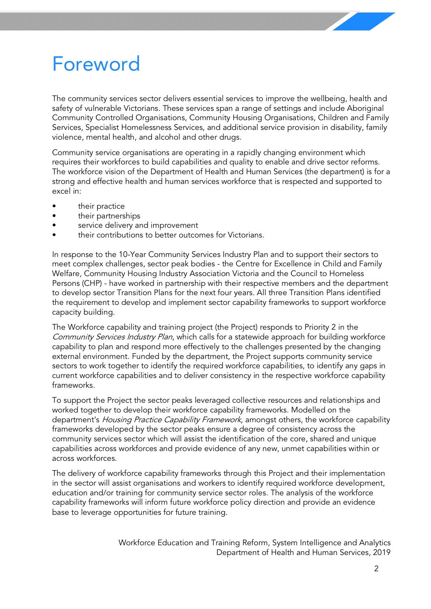# <span id="page-2-0"></span>Foreword

The community services sector delivers essential services to improve the wellbeing, health and safety of vulnerable Victorians. These services span a range of settings and include Aboriginal Community Controlled Organisations, Community Housing Organisations, Children and Family Services, Specialist Homelessness Services, and additional service provision in disability, family violence, mental health, and alcohol and other drugs.

Community service organisations are operating in a rapidly changing environment which requires their workforces to build capabilities and quality to enable and drive sector reforms. The workforce vision of the Department of Health and Human Services (the department) is for a strong and effective health and human services workforce that is respected and supported to excel in:

- their practice
- their partnerships
- service delivery and improvement
- their contributions to better outcomes for Victorians.

In response to the 10-Year Community Services Industry Plan and to support their sectors to meet complex challenges, sector peak bodies - the Centre for Excellence in Child and Family Welfare, Community Housing Industry Association Victoria and the Council to Homeless Persons (CHP) - have worked in partnership with their respective members and the department to develop sector Transition Plans for the next four years. All three Transition Plans identified the requirement to develop and implement sector capability frameworks to support workforce capacity building.

The Workforce capability and training project (the Project) responds to Priority 2 in the Community Services Industry Plan, which calls for a statewide approach for building workforce capability to plan and respond more effectively to the challenges presented by the changing external environment. Funded by the department, the Project supports community service sectors to work together to identify the required workforce capabilities, to identify any gaps in current workforce capabilities and to deliver consistency in the respective workforce capability frameworks.

To support the Project the sector peaks leveraged collective resources and relationships and worked together to develop their workforce capability frameworks. Modelled on the department's Housing Practice Capability Framework, amongst others, the workforce capability frameworks developed by the sector peaks ensure a degree of consistency across the community services sector which will assist the identification of the core, shared and unique capabilities across workforces and provide evidence of any new, unmet capabilities within or across workforces.

The delivery of workforce capability frameworks through this Project and their implementation in the sector will assist organisations and workers to identify required workforce development, education and/or training for community service sector roles. The analysis of the workforce capability frameworks will inform future workforce policy direction and provide an evidence base to leverage opportunities for future training.

> Workforce Education and Training Reform, System Intelligence and Analytics Department of Health and Human Services, 2019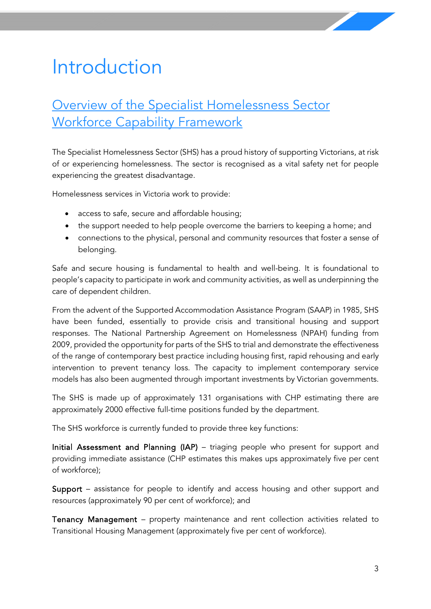# <span id="page-3-0"></span>Introduction

## <span id="page-3-1"></span>Overview of the Specialist Homelessness Sector Workforce Capability Framework

The Specialist Homelessness Sector (SHS) has a proud history of supporting Victorians, at risk of or experiencing homelessness. The sector is recognised as a vital safety net for people experiencing the greatest disadvantage.

Homelessness services in Victoria work to provide:

- access to safe, secure and affordable housing;
- the support needed to help people overcome the barriers to keeping a home; and
- connections to the physical, personal and community resources that foster a sense of belonging.

Safe and secure housing is fundamental to health and well-being. It is foundational to people's capacity to participate in work and community activities, as well as underpinning the care of dependent children.

From the advent of the Supported Accommodation Assistance Program (SAAP) in 1985, SHS have been funded, essentially to provide crisis and transitional housing and support responses. The National Partnership Agreement on Homelessness (NPAH) funding from 2009, provided the opportunity for parts of the SHS to trial and demonstrate the effectiveness of the range of contemporary best practice including housing first, rapid rehousing and early intervention to prevent tenancy loss. The capacity to implement contemporary service models has also been augmented through important investments by Victorian governments.

The SHS is made up of approximately 131 organisations with CHP estimating there are approximately 2000 effective full-time positions funded by the department.

The SHS workforce is currently funded to provide three key functions:

Initial Assessment and Planning (IAP) – triaging people who present for support and providing immediate assistance (CHP estimates this makes ups approximately five per cent of workforce);

Support – assistance for people to identify and access housing and other support and resources (approximately 90 per cent of workforce); and

Tenancy Management – property maintenance and rent collection activities related to Transitional Housing Management (approximately five per cent of workforce).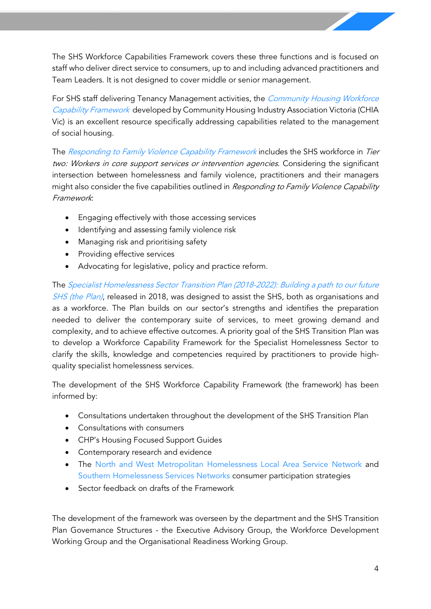The SHS Workforce Capabilities Framework covers these three functions and is focused on staff who deliver direct service to consumers, up to and including advanced practitioners and Team Leaders. It is not designed to cover middle or senior management.

For SHS staff delivering Tenancy Management activities, the *Community Housing Workforce* [Capability Framework](https://chiavic.com.au/projects/workforce-capability/?mc_cid=c373272644&mc_eid=f35a4dadee) developed by Community Housing Industry Association Victoria (CHIA Vic) is an excellent resource specifically addressing capabilities related to the management of social housing.

The [Responding to Family Violence Capability Framework](https://w.www.vic.gov.au/system/user_files/Documents/fv/Responding%20to%20Family%20Violence%20Capability%20Framework.pdf) includes the SHS workforce in Tier two: Workers in core support services or intervention agencies. Considering the significant intersection between homelessness and family violence, practitioners and their managers might also consider the five capabilities outlined in Responding to Family Violence Capability Framework:

- Engaging effectively with those accessing services
- Identifying and assessing family violence risk
- Managing risk and prioritising safety
- Providing effective services
- Advocating for legislative, policy and practice reform.

The [Specialist Homelessness Sector Transition Plan \(2018-2022\): Building a path to our future](https://chp.org.au/wp-content/uploads/2018/10/Specialist-Homelessness-Sector-Transition-Plan-2018-2022.pdf) [SHS \(the Plan\)](http://chp.org.au/specialist-homelessness-sector-transition-plan-2018-2022/), released in 2018, was designed to assist the SHS, both as organisations and as a workforce. The Plan builds on our sector's strengths and identifies the preparation needed to deliver the contemporary suite of services, to meet growing demand and complexity, and to achieve effective outcomes. A priority goal of the SHS Transition Plan was to develop a Workforce Capability Framework for the Specialist Homelessness Sector to clarify the skills, knowledge and competencies required by practitioners to provide highquality specialist homelessness services.

The development of the SHS Workforce Capability Framework (the framework) has been informed by:

- Consultations undertaken throughout the development of the SHS Transition Plan
- Consultations with consumers
- CHP's Housing Focused Support Guides
- Contemporary research and evidence
- The [North and West Metropolitan Homelessness](http://www.nwhn.net.au/admin/file/content2/c7/Client%20Participation%20Guide_1329808697989.pdf) Local Area Service Network and [Southern Homelessness Services Networks](https://docs.wixstatic.com/ugd/776f42_15f5509ee8cd41a184817b37f696992c.pdf) consumer participation strategies
- Sector feedback on drafts of the Framework

The development of the framework was overseen by the department and the SHS Transition Plan Governance Structures - the Executive Advisory Group, the Workforce Development Working Group and the Organisational Readiness Working Group.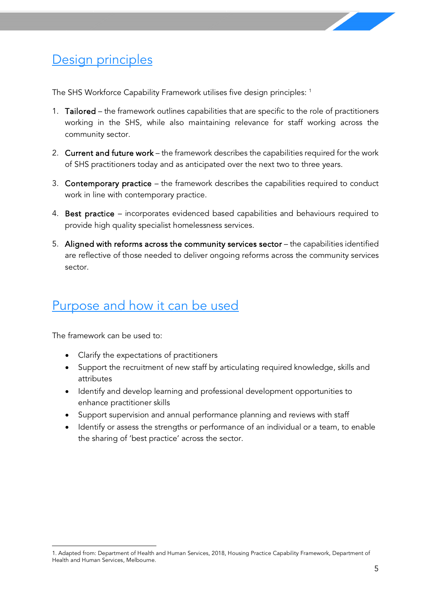

## <span id="page-5-0"></span>Design principles

The SHS Workforce Capability Framework utilises five design principles: <sup>[1](#page-5-2)</sup>

- 1. Tailored the framework outlines capabilities that are specific to the role of practitioners working in the SHS, while also maintaining relevance for staff working across the community sector.
- 2. Current and future work the framework describes the capabilities required for the work of SHS practitioners today and as anticipated over the next two to three years.
- 3. Contemporary practice the framework describes the capabilities required to conduct work in line with contemporary practice.
- 4. Best practice incorporates evidenced based capabilities and behaviours required to provide high quality specialist homelessness services.
- 5. Aligned with reforms across the community services sector the capabilities identified are reflective of those needed to deliver ongoing reforms across the community services sector.

## <span id="page-5-1"></span>Purpose and how it can be used

The framework can be used to:

- Clarify the expectations of practitioners
- Support the recruitment of new staff by articulating required knowledge, skills and attributes
- Identify and develop learning and professional development opportunities to enhance practitioner skills
- Support supervision and annual performance planning and reviews with staff
- Identify or assess the strengths or performance of an individual or a team, to enable the sharing of 'best practice' across the sector.

<span id="page-5-2"></span> <sup>1.</sup> Adapted from: Department of Health and Human Services, 2018, Housing Practice Capability Framework, Department of Health and Human Services, Melbourne.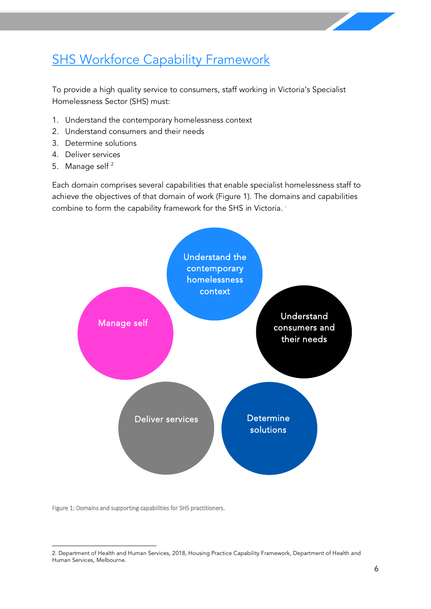## <span id="page-6-0"></span>**SHS Workforce Capability Framework**

To provide a high quality service to consumers, staff working in Victoria's Specialist Homelessness Sector (SHS) must:

- 1. Understand the contemporary homelessness context
- 2. Understand consumers and their needs
- 3. Determine solutions
- 4. Deliver services
- 5. Manage self [2](#page-6-2)

Each domain comprises several capabilities that enable specialist homelessness staff to achieve the objectives of that domain of work (Figure 1). The domains and capabilities combine to form the capability framework for the SHS in Victoria. '



<span id="page-6-1"></span>Figure 1: Domains and supporting capabilities for SHS practitioners.

<span id="page-6-2"></span> <sup>2.</sup> Department of Health and Human Services, 2018, Housing Practice Capability Framework, Department of Health and Human Services, Melbourne.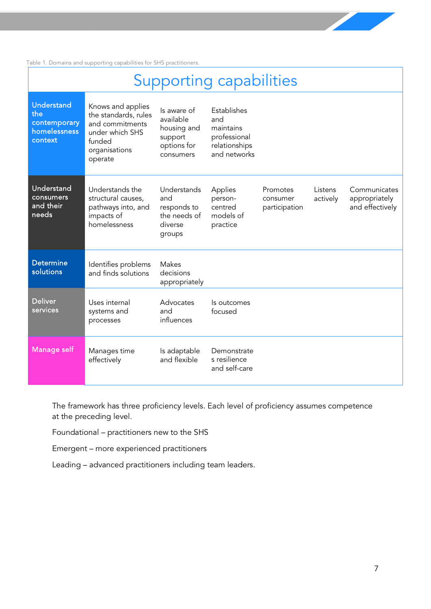Table 1. Domains and supporting capabilities for SHS practitioners.

| <b>Supporting capabilities</b>                                      |                                                                                                                       |                                                                                |                                                                                  |                                       |                     |                                                  |  |  |
|---------------------------------------------------------------------|-----------------------------------------------------------------------------------------------------------------------|--------------------------------------------------------------------------------|----------------------------------------------------------------------------------|---------------------------------------|---------------------|--------------------------------------------------|--|--|
| <b>Understand</b><br>the<br>contemporary<br>homelessness<br>context | Knows and applies<br>the standards, rules<br>and commitments<br>under which SHS<br>funded<br>organisations<br>operate | Is aware of<br>available<br>housing and<br>support<br>options for<br>consumers | Establishes<br>and<br>maintains<br>professional<br>relationships<br>and networks |                                       |                     |                                                  |  |  |
| Understand<br>consumers<br>and their<br>needs                       | Understands the<br>structural causes,<br>pathways into, and<br>impacts of<br>homelessness                             | Understands<br>and<br>responds to<br>the needs of<br>diverse<br>groups         | Applies<br>person-<br>centred<br>models of<br>practice                           | Promotes<br>consumer<br>participation | Listens<br>actively | Communicates<br>appropriately<br>and effectively |  |  |
| <b>Determine</b><br>solutions                                       | Identifies problems<br>and finds solutions                                                                            | Makes<br>decisions<br>appropriately                                            |                                                                                  |                                       |                     |                                                  |  |  |
| <b>Deliver</b><br>services                                          | Uses internal<br>systems and<br>processes                                                                             | Advocates<br>and<br>influences                                                 | Is outcomes<br>focused                                                           |                                       |                     |                                                  |  |  |
| Manage self                                                         | Manages time<br>effectively                                                                                           | Is adaptable<br>and flexible                                                   | Demonstrate<br>s resilience<br>and self-care                                     |                                       |                     |                                                  |  |  |

The framework has three proficiency levels. Each level of proficiency assumes competence at the preceding level.

Foundational – practitioners new to the SHS

Emergent – more experienced practitioners

Leading – advanced practitioners including team leaders.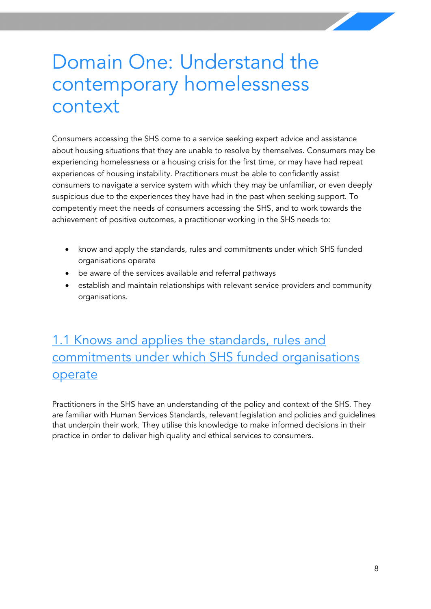# <span id="page-8-0"></span>Domain One: Understand the contemporary homelessness context

Consumers accessing the SHS come to a service seeking expert advice and assistance about housing situations that they are unable to resolve by themselves. Consumers may be experiencing homelessness or a housing crisis for the first time, or may have had repeat experiences of housing instability. Practitioners must be able to confidently assist consumers to navigate a service system with which they may be unfamiliar, or even deeply suspicious due to the experiences they have had in the past when seeking support. To competently meet the needs of consumers accessing the SHS, and to work towards the achievement of positive outcomes, a practitioner working in the SHS needs to:

- know and apply the standards, rules and commitments under which SHS funded organisations operate
- be aware of the services available and referral pathways
- establish and maintain relationships with relevant service providers and community organisations.

## <span id="page-8-1"></span>1.1 Knows and applies the standards, rules and commitments under which SHS funded organisations operate

Practitioners in the SHS have an understanding of the policy and context of the SHS. They are familiar with Human Services Standards, relevant legislation and policies and guidelines that underpin their work. They utilise this knowledge to make informed decisions in their practice in order to deliver high quality and ethical services to consumers.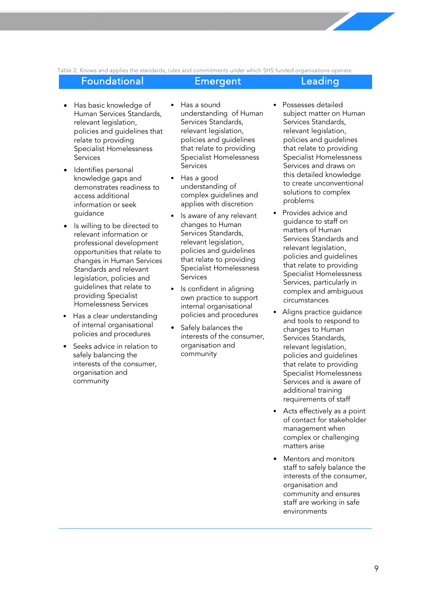Table 2. Knows and applies the standards, rules and commitments under which SHS funded organisations operate

### Foundational Emergent Leading

- Has basic knowledge of Human Services Standards, relevant legislation, policies and guidelines that relate to providing Specialist Homelessness **Services**
- Identifies personal knowledge gaps and demonstrates readiness to access additional information or seek guidance
- Is willing to be directed to relevant information or professional development opportunities that relate to changes in Human Services Standards and relevant legislation, policies and guidelines that relate to providing Specialist Homelessness Services
- Has a clear understanding of internal organisational policies and procedures
- Seeks advice in relation to safely balancing the interests of the consumer, organisation and community
- Has a sound understanding of Human Services Standards, relevant legislation, policies and guidelines that relate to providing Specialist Homelessness **Services**
- Has a good understanding of complex guidelines and applies with discretion
- Is aware of any relevant changes to Human Services Standards, relevant legislation, policies and guidelines that relate to providing Specialist Homelessness Services
- Is confident in aligning own practice to support internal organisational policies and procedures
- Safely balances the interests of the consumer, organisation and community
- Possesses detailed subject matter on Human Services Standards, relevant legislation, policies and guidelines that relate to providing Specialist Homelessness Services and draws on this detailed knowledge to create unconventional solutions to complex problems
- Provides advice and guidance to staff on matters of Human Services Standards and relevant legislation, policies and guidelines that relate to providing Specialist Homelessness Services, particularly in complex and ambiguous circumstances
- Aligns practice guidance and tools to respond to changes to Human Services Standards, relevant legislation, policies and guidelines that relate to providing Specialist Homelessness Services and is aware of additional training requirements of staff
- Acts effectively as a point of contact for stakeholder management when complex or challenging matters arise
- Mentors and monitors staff to safely balance the interests of the consumer, organisation and community and ensures staff are working in safe environments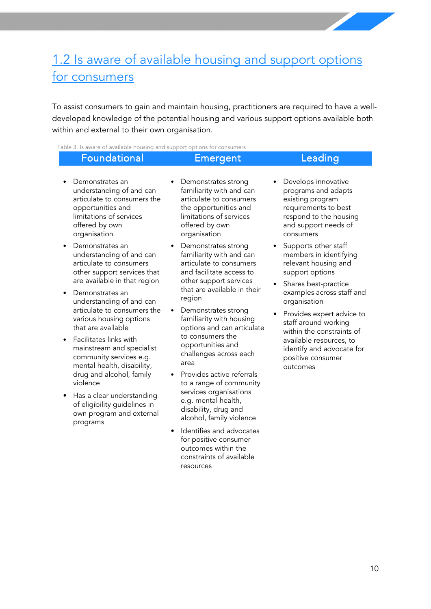## <span id="page-10-0"></span>1.2 Is aware of available housing and support options for consumers

To assist consumers to gain and maintain housing, practitioners are required to have a welldeveloped knowledge of the potential housing and various support options available both within and external to their own organisation.

Table 3. Is aware of available housing and support options for consumers

### Foundational Emergent Leading

- Demonstrates an understanding of and can articulate to consumers the opportunities and limitations of services
- Demonstrates an understanding of and can articulate to consumers other support services that are available in that region

offered by own organisation

- Demonstrates an understanding of and can articulate to consumers the various housing options that are available
- Facilitates links with mainstream and specialist community services e.g. mental health, disability, drug and alcohol, family violence
- Has a clear understanding of eligibility guidelines in own program and external programs
- Demonstrates strong familiarity with and can articulate to consumers the opportunities and limitations of services offered by own organisation
- Demonstrates strong familiarity with and can articulate to consumers and facilitate access to other support services that are available in their region
- Demonstrates strong familiarity with housing options and can articulate to consumers the opportunities and challenges across each area
- Provides active referrals to a range of community services organisations e.g. mental health, disability, drug and alcohol, family violence
- Identifies and advocates for positive consumer outcomes within the constraints of available resources
- Develops innovative programs and adapts existing program requirements to best respond to the housing and support needs of consumers
- Supports other staff members in identifying relevant housing and support options
- Shares best-practice examples across staff and organisation
- Provides expert advice to staff around working within the constraints of available resources, to identify and advocate for positive consumer outcomes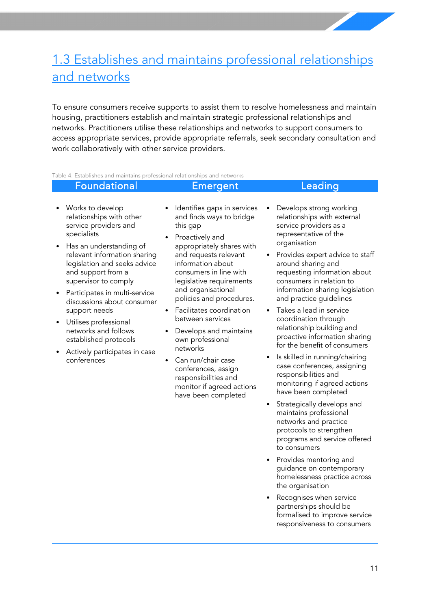## <span id="page-11-0"></span>1.3 Establishes and maintains professional relationships and networks

To ensure consumers receive supports to assist them to resolve homelessness and maintain housing, practitioners establish and maintain strategic professional relationships and networks. Practitioners utilise these relationships and networks to support consumers to access appropriate services, provide appropriate referrals, seek secondary consultation and work collaboratively with other service providers.

Table 4. Establishes and maintains professional relationships and networks

| Foundational                                                                                                                            | Emergent                                                                                                                                            | Leading                                                                                                                                                                |
|-----------------------------------------------------------------------------------------------------------------------------------------|-----------------------------------------------------------------------------------------------------------------------------------------------------|------------------------------------------------------------------------------------------------------------------------------------------------------------------------|
| • Works to develop<br>relationships with other<br>service providers and<br>specialists                                                  | Identifies gaps in services<br>and finds ways to bridge<br>this gap<br>Proactively and                                                              | Develops strong working<br>٠<br>relationships with external<br>service providers as a<br>representative of the                                                         |
| • Has an understanding of<br>relevant information sharing<br>legislation and seeks advice<br>and support from a<br>supervisor to comply | appropriately shares with<br>and requests relevant<br>information about<br>consumers in line with<br>legislative requirements<br>and organicational | organisation<br>• Provides expert advice to staff<br>around sharing and<br>requesting information about<br>consumers in relation to<br>information charing logiclation |

- Participates in multi-service discussions about consumer support needs
- Utilises professional networks and follows established protocols
- Actively participates in case conferences
- and organisational policies and procedures.
- Facilitates coordination between services
- Develops and maintains own professional networks
- Can run/chair case conferences, assign responsibilities and monitor if agreed actions have been completed
- information sharing legislation and practice guidelines
- Takes a lead in service coordination through relationship building and proactive information sharing for the benefit of consumers
- Is skilled in running/chairing case conferences, assigning responsibilities and monitoring if agreed actions have been completed
- Strategically develops and maintains professional networks and practice protocols to strengthen programs and service offered to consumers
- Provides mentoring and guidance on contemporary homelessness practice across the organisation
- Recognises when service partnerships should be formalised to improve service responsiveness to consumers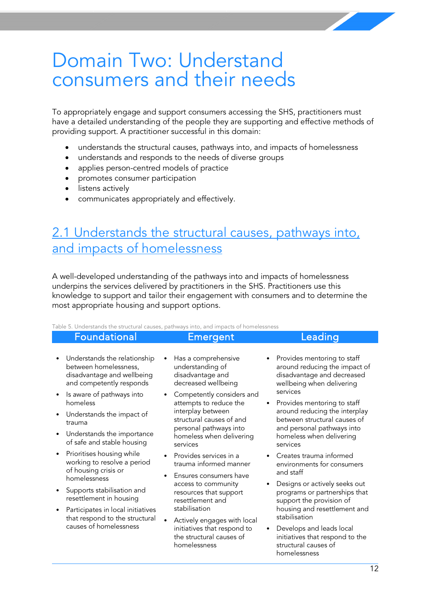# <span id="page-12-0"></span>Domain Two: Understand consumers and their needs

To appropriately engage and support consumers accessing the SHS, practitioners must have a detailed understanding of the people they are supporting and effective methods of providing support. A practitioner successful in this domain:

- understands the structural causes, pathways into, and impacts of homelessness
- understands and responds to the needs of diverse groups
- applies person-centred models of practice
- promotes consumer participation
- listens actively
- communicates appropriately and effectively.

### <span id="page-12-1"></span>2.1 Understands the structural causes, pathways into, and impacts of homelessness

A well-developed understanding of the pathways into and impacts of homelessness underpins the services delivered by practitioners in the SHS. Practitioners use this knowledge to support and tailor their engagement with consumers and to determine the most appropriate housing and support options.

Table 5. Understands the structural causes, pathways into, and impacts of homelessness

|           | Table 5. Understands the structural causes, pathways into, and impacts of homelessness                          |           |                                                                                                                 |  |                                                                                                                                     |  |  |  |
|-----------|-----------------------------------------------------------------------------------------------------------------|-----------|-----------------------------------------------------------------------------------------------------------------|--|-------------------------------------------------------------------------------------------------------------------------------------|--|--|--|
|           | <b>Foundational</b>                                                                                             |           | <b>Emergent</b>                                                                                                 |  | Leading                                                                                                                             |  |  |  |
| ٠         | Understands the relationship<br>between homelessness,<br>disadvantage and wellbeing<br>and competently responds |           | Has a comprehensive<br>understanding of<br>disadvantage and<br>decreased wellbeing                              |  | Provides mentoring to staff<br>around reducing the impact of<br>disadvantage and decreased<br>wellbeing when delivering             |  |  |  |
| $\bullet$ | Is aware of pathways into<br>homeless                                                                           | ٠         | Competently considers and<br>attempts to reduce the                                                             |  | services<br>Provides mentoring to staff                                                                                             |  |  |  |
| $\bullet$ | Understands the impact of<br>trauma                                                                             |           | interplay between<br>structural causes of and<br>personal pathways into<br>homeless when delivering<br>services |  | around reducing the interplay<br>between structural causes of<br>and personal pathways into<br>homeless when delivering<br>services |  |  |  |
| $\bullet$ | Understands the importance<br>of safe and stable housing                                                        |           |                                                                                                                 |  |                                                                                                                                     |  |  |  |
| $\bullet$ | Prioritises housing while<br>working to resolve a period<br>of housing crisis or                                | $\bullet$ | Provides services in a<br>trauma informed manner<br>Ensures consumers have                                      |  | Creates trauma informed<br>environments for consumers<br>and staff                                                                  |  |  |  |
|           | homelessness                                                                                                    |           | access to community<br>resources that support<br>resettlement and                                               |  | Designs or actively seeks out<br>programs or partnerships that<br>support the provision of                                          |  |  |  |
| $\bullet$ | Supports stabilisation and<br>resettlement in housing                                                           |           |                                                                                                                 |  |                                                                                                                                     |  |  |  |
|           | Participates in local initiatives<br>that respond to the structural                                             |           | stabilisation<br>Actively engages with local                                                                    |  | housing and resettlement and<br>stabilisation                                                                                       |  |  |  |
|           | causes of homelessness                                                                                          |           | initiatives that respond to                                                                                     |  | Douglang and loads local                                                                                                            |  |  |  |

initiatives that respond to the structural causes of

homelessness

• Develops and leads local initiatives that respond to the structural causes of homelessness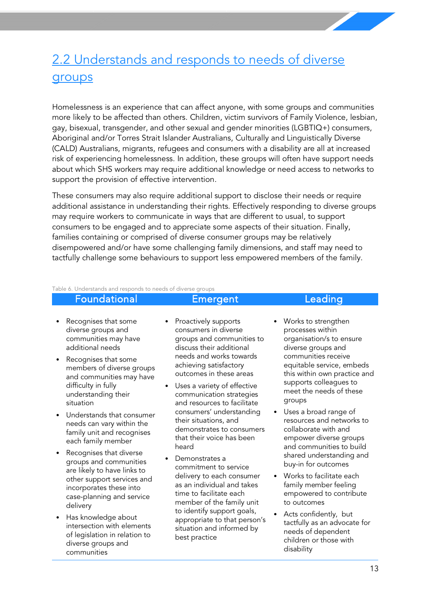## <span id="page-13-0"></span>2.2 Understands and responds to needs of diverse groups

Homelessness is an experience that can affect anyone, with some groups and communities more likely to be affected than others. Children, victim survivors of Family Violence, lesbian, gay, bisexual, transgender, and other sexual and gender minorities (LGBTIQ+) consumers, Aboriginal and/or Torres Strait Islander Australians, Culturally and Linguistically Diverse (CALD) Australians, migrants, refugees and consumers with a disability are all at increased risk of experiencing homelessness. In addition, these groups will often have support needs about which SHS workers may require additional knowledge or need access to networks to support the provision of effective intervention.

These consumers may also require additional support to disclose their needs or require additional assistance in understanding their rights. Effectively responding to diverse groups may require workers to communicate in ways that are different to usual, to support consumers to be engaged and to appreciate some aspects of their situation. Finally, families containing or comprised of diverse consumer groups may be relatively disempowered and/or have some challenging family dimensions, and staff may need to tactfully challenge some behaviours to support less empowered members of the family.

Table 6. Understands and responds to needs of diverse groups

#### Foundational Emergent Leading

- Recognises that some diverse groups and communities may have additional needs
- Recognises that some members of diverse groups and communities may have difficulty in fully understanding their situation
- Understands that consumer needs can vary within the family unit and recognises each family member
- Recognises that diverse groups and communities are likely to have links to other support services and incorporates these into case-planning and service delivery
- Has knowledge about intersection with elements of legislation in relation to diverse groups and communities
- Proactively supports consumers in diverse groups and communities to discuss their additional needs and works towards achieving satisfactory outcomes in these areas
- Uses a variety of effective communication strategies and resources to facilitate consumers' understanding their situations, and demonstrates to consumers that their voice has been heard
- Demonstrates a commitment to service delivery to each consumer as an individual and takes time to facilitate each member of the family unit to identify support goals, appropriate to that person's situation and informed by best practice
- Works to strengthen processes within organisation/s to ensure diverse groups and communities receive equitable service, embeds this within own practice and supports colleagues to meet the needs of these groups
- Uses a broad range of resources and networks to collaborate with and empower diverse groups and communities to build shared understanding and buy-in for outcomes
- Works to facilitate each family member feeling empowered to contribute to outcomes
- Acts confidently, but tactfully as an advocate for needs of dependent children or those with disability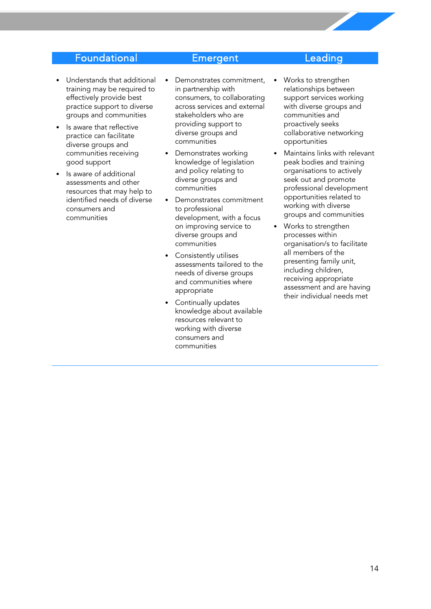### Foundational Emergent Leading

- Understands that additional training may be required to effectively provide best practice support to diverse groups and communities
- Is aware that reflective practice can facilitate diverse groups and communities receiving good support
- Is aware of additional assessments and other resources that may help to identified needs of diverse consumers and communities
- Demonstrates commitment, in partnership with consumers, to collaborating across services and external stakeholders who are providing support to diverse groups and communities
- Demonstrates working knowledge of legislation and policy relating to diverse groups and communities
- Demonstrates commitment to professional development, with a focus on improving service to diverse groups and communities
- Consistently utilises assessments tailored to the needs of diverse groups and communities where appropriate
- Continually updates knowledge about available resources relevant to working with diverse consumers and communities
- Works to strengthen relationships between support services working with diverse groups and communities and proactively seeks collaborative networking opportunities
- Maintains links with relevant peak bodies and training organisations to actively seek out and promote professional development opportunities related to working with diverse groups and communities
- Works to strengthen processes within organisation/s to facilitate all members of the presenting family unit, including children, receiving appropriate assessment and are having their individual needs met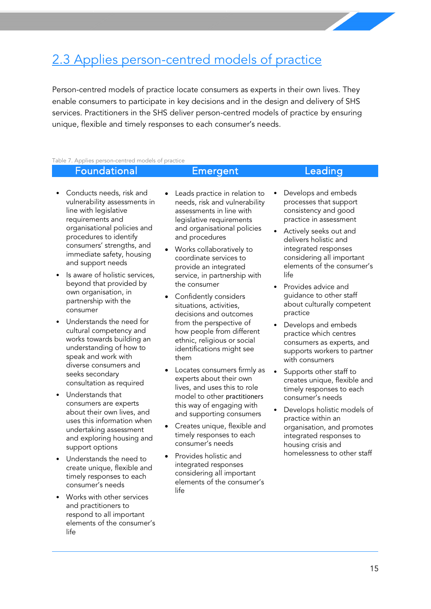## <span id="page-15-0"></span>2.3 Applies person-centred models of practice

Person-centred models of practice locate consumers as experts in their own lives. They enable consumers to participate in key decisions and in the design and delivery of SHS services. Practitioners in the SHS deliver person-centred models of practice by ensuring unique, flexible and timely responses to each consumer's needs.

#### Table 7. Applies person-centred models of practice

#### Foundational Emergent Leading

#### • Conducts needs, risk and vulnerability assessments in line with legislative requirements and organisational policies and procedures to identify consumers' strengths, and immediate safety, housing and support needs

- Is aware of holistic services, beyond that provided by own organisation, in partnership with the consumer
- Understands the need for cultural competency and works towards building an understanding of how to speak and work with diverse consumers and seeks secondary consultation as required
- Understands that consumers are experts about their own lives, and uses this information when undertaking assessment and exploring housing and support options
- Understands the need to create unique, flexible and timely responses to each consumer's needs
- Works with other services and practitioners to respond to all important elements of the consumer's life
- Leads practice in relation to needs, risk and vulnerability assessments in line with legislative requirements and organisational policies and procedures
- Works collaboratively to coordinate services to provide an integrated service, in partnership with the consumer
- Confidently considers situations, activities, decisions and outcomes from the perspective of how people from different ethnic, religious or social identifications might see them
- Locates consumers firmly as experts about their own lives, and uses this to role model to other practitioners this way of engaging with and supporting consumers
- Creates unique, flexible and timely responses to each consumer's needs
- Provides holistic and integrated responses considering all important elements of the consumer's life

• Develops and embeds processes that support consistency and good

practice in assessment

- Actively seeks out and delivers holistic and integrated responses considering all important elements of the consumer's life
- Provides advice and guidance to other staff about culturally competent practice
- Develops and embeds practice which centres consumers as experts, and supports workers to partner with consumers
- Supports other staff to creates unique, flexible and timely responses to each consumer's needs
- Develops holistic models of practice within an organisation, and promotes integrated responses to housing crisis and homelessness to other staff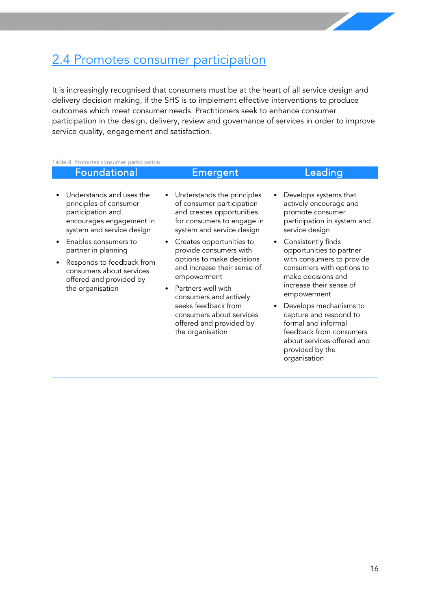### <span id="page-16-0"></span>2.4 Promotes consumer participation

It is increasingly recognised that consumers must be at the heart of all service design and delivery decision making, if the SHS is to implement effective interventions to produce outcomes which meet consumer needs. Practitioners seek to enhance consumer participation in the design, delivery, review and governance of services in order to improve service quality, engagement and satisfaction.

Table 8. Promotes consumer participation

### Foundational Emergent Leading

- Understands and uses the principles of consumer participation and encourages engagement in system and service design
- Enables consumers to partner in planning
- Responds to feedback from consumers about services offered and provided by the organisation
- Understands the principles of consumer participation and creates opportunities for consumers to engage in system and service design
- Creates opportunities to provide consumers with options to make decisions and increase their sense of empowerment
- Partners well with consumers and actively seeks feedback from consumers about services offered and provided by the organisation
- Develops systems that actively encourage and promote consumer participation in system and service design
- Consistently finds opportunities to partner with consumers to provide consumers with options to make decisions and increase their sense of empowerment
- Develops mechanisms to capture and respond to formal and informal feedback from consumers about services offered and provided by the organisation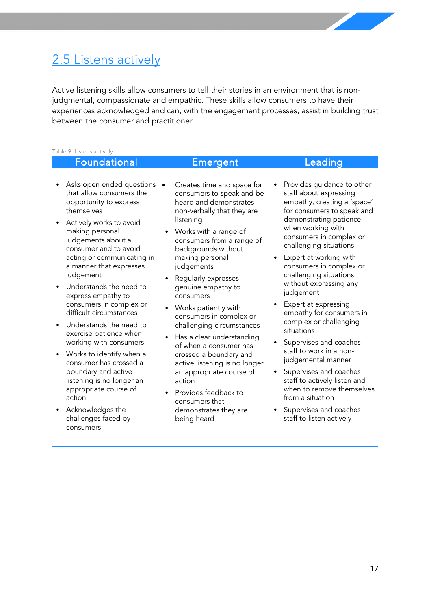## <span id="page-17-0"></span>2.5 Listens actively

Active listening skills allow consumers to tell their stories in an environment that is nonjudgmental, compassionate and empathic. These skills allow consumers to have their experiences acknowledged and can, with the engagement processes, assist in building trust between the consumer and practitioner.

#### Table 9. Listens actively Foundational Emergent Leading • Asks open ended questions that allow consumers the opportunity to express themselves Actively works to avoid making personal judgements about a consumer and to avoid acting or communicating in a manner that expresses judgement Understands the need to express empathy to consumers in complex or difficult circumstances • Understands the need to exercise patience when working with consumers • Works to identify when a • Creates time and space for consumers to speak and be heard and demonstrates non-verbally that they are listening • Works with a range of consumers from a range of backgrounds without making personal judgements • Regularly expresses genuine empathy to consumers • Works patiently with consumers in complex or challenging circumstances • Has a clear understanding of when a consumer has crossed a boundary and Provides guidance to other staff about expressing empathy, creating a 'space' for consumers to speak and demonstrating patience when working with consumers in complex or challenging situations Expert at working with consumers in complex or challenging situations without expressing any judgement Expert at expressing empathy for consumers in complex or challenging situations Supervises and coaches staff to work in a nonjudgemental manner

- Supervises and coaches staff to actively listen and when to remove themselves from a situation
- Supervises and coaches staff to listen actively

consumer has crossed a boundary and active listening is no longer an appropriate course of action

Acknowledges the challenges faced by consumers

active listening is no longer an appropriate course of action

• Provides feedback to consumers that demonstrates they are being heard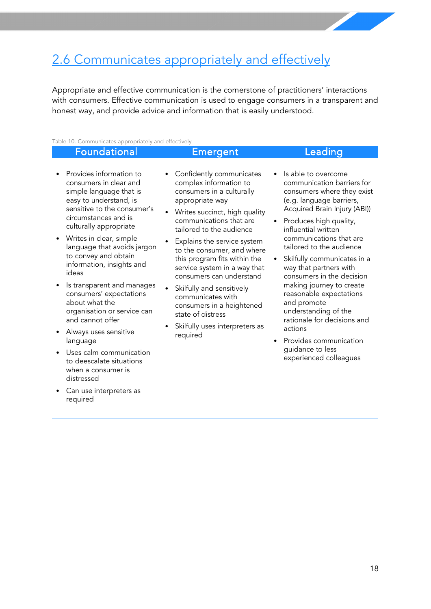## <span id="page-18-0"></span>2.6 Communicates appropriately and effectively

Appropriate and effective communication is the cornerstone of practitioners' interactions with consumers. Effective communication is used to engage consumers in a transparent and honest way, and provide advice and information that is easily understood.

#### Table 10. Communicates appropriately and effectively

#### Foundational **Emergent** Emergent Leading • Provides information to consumers in clear and simple language that is easy to understand, is sensitive to the consumer's circumstances and is culturally appropriate • Writes in clear, simple language that avoids jargon to convey and obtain information, insights and ideas • Is transparent and manages consumers' expectations about what the Confidently communicates complex information to consumers in a culturally appropriate way Writes succinct, high quality communications that are tailored to the audience Explains the service system to the consumer, and where this program fits within the service system in a way that consumers can understand Skilfully and sensitively communicates with consumers in a heightened Is able to overcome (e.g. language barriers, Produces high quality, influential written communications that are tailored to the audience Skilfully communicates in a way that partners with consumers in the decision making journey to create reasonable expectations and promote

- organisation or service can and cannot offer
- Always uses sensitive language
- Uses calm communication to deescalate situations when a consumer is distressed
- Can use interpreters as required
- state of distress
- Skilfully uses interpreters as required
- communication barriers for consumers where they exist Acquired Brain Injury (ABI))
- understanding of the rationale for decisions and actions
- Provides communication guidance to less experienced colleagues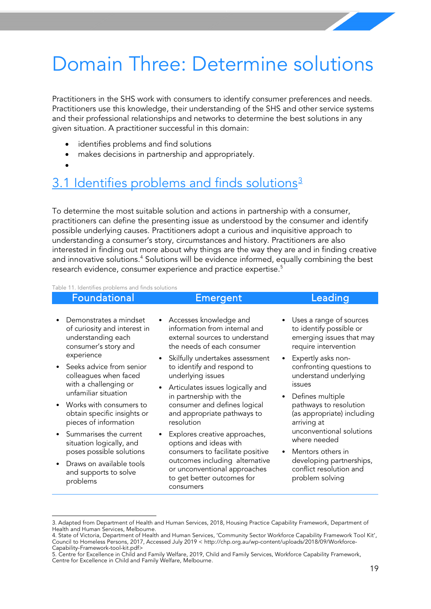# <span id="page-19-0"></span>Domain Three: Determine solutions

Practitioners in the SHS work with consumers to identify consumer preferences and needs. Practitioners use this knowledge, their understanding of the SHS and other service systems and their professional relationships and networks to determine the best solutions in any given situation. A practitioner successful in this domain:

- identifies problems and find solutions
- makes decisions in partnership and appropriately.
- •

### <span id="page-19-1"></span>[3](#page-19-2).1 Identifies problems and finds solutions<sup>3</sup>

To determine the most suitable solution and actions in partnership with a consumer, practitioners can define the presenting issue as understood by the consumer and identify possible underlying causes. Practitioners adopt a curious and inquisitive approach to understanding a consumer's story, circumstances and history. Practitioners are also interested in finding out more about why things are the way they are and in finding creative and innovative solutions.<sup>[4](#page-19-3)</sup> Solutions will be evidence informed, equally combining the best research evidence, consumer experience and practice expertise.<sup>5</sup>

Table 11. Identifies problems and finds solutions

| <b>Foundational</b>                                                                                                                             | Emergent                                                                                                                                                                                                 | Leading                                                                                                                                 |
|-------------------------------------------------------------------------------------------------------------------------------------------------|----------------------------------------------------------------------------------------------------------------------------------------------------------------------------------------------------------|-----------------------------------------------------------------------------------------------------------------------------------------|
| Demonstrates a mindset                                                                                                                          | • Accesses knowledge and                                                                                                                                                                                 | • Uses a range of sources                                                                                                               |
| of curiosity and interest in                                                                                                                    | information from internal and                                                                                                                                                                            | to identify possible or                                                                                                                 |
| understanding each                                                                                                                              | external sources to understand                                                                                                                                                                           | emerging issues that may                                                                                                                |
| consumer's story and                                                                                                                            | the needs of each consumer                                                                                                                                                                               | require intervention                                                                                                                    |
| experience                                                                                                                                      | Skilfully undertakes assessment                                                                                                                                                                          | • Expertly asks non-                                                                                                                    |
| • Seeks advice from senior                                                                                                                      | to identify and respond to                                                                                                                                                                               | confronting questions to                                                                                                                |
| colleagues when faced                                                                                                                           | underlying issues                                                                                                                                                                                        | understand underlying                                                                                                                   |
| with a challenging or                                                                                                                           | Articulates issues logically and                                                                                                                                                                         | issues                                                                                                                                  |
| unfamiliar situation                                                                                                                            | in partnership with the                                                                                                                                                                                  | Defines multiple                                                                                                                        |
| • Works with consumers to                                                                                                                       | consumer and defines logical                                                                                                                                                                             | pathways to resolution                                                                                                                  |
| obtain specific insights or                                                                                                                     | and appropriate pathways to                                                                                                                                                                              | (as appropriate) including                                                                                                              |
| pieces of information                                                                                                                           | resolution                                                                                                                                                                                               | arriving at                                                                                                                             |
| Summarises the current<br>situation logically, and<br>poses possible solutions<br>Draws on available tools<br>and supports to solve<br>problems | Explores creative approaches,<br>options and ideas with<br>consumers to facilitate positive<br>outcomes including alternative<br>or unconventional approaches<br>to get better outcomes for<br>consumers | unconventional solutions<br>where needed<br>Mentors others in<br>developing partnerships,<br>conflict resolution and<br>problem solving |

<span id="page-19-2"></span> <sup>3.</sup> Adapted from Department of Health and Human Services, 2018, Housing Practice Capability Framework, Department of Health and Human Services, Melbourne.

<span id="page-19-3"></span><sup>4.</sup> State of Victoria, Department of Health and Human Services, 'Community Sector Workforce Capability Framework Tool Kit', Council to Homeless Persons, 2017, Accessed July 2019 < [http://chp.org.au/wp-content/uploads/2018/09/Workforce-](http://chp.org.au/wp-content/uploads/2018/09/Workforce-Capability-Framework-tool-kit.pdf)[Capability-Framework-tool-kit.pdf>](http://chp.org.au/wp-content/uploads/2018/09/Workforce-Capability-Framework-tool-kit.pdf)

<span id="page-19-4"></span><sup>5.</sup> Centre for Excellence in Child and Family Welfare, 2019, Child and Family Services, Workforce Capability Framework, Centre for Excellence in Child and Family Welfare, Melbourne.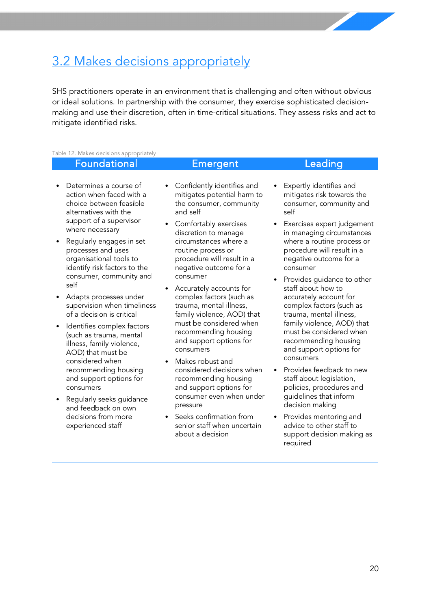## <span id="page-20-0"></span>3.2 Makes decisions appropriately

SHS practitioners operate in an environment that is challenging and often without obvious or ideal solutions. In partnership with the consumer, they exercise sophisticated decisionmaking and use their discretion, often in time-critical situations. They assess risks and act to mitigate identified risks.

#### Table 12. Makes decisions appropriately

#### Foundational Emergent Leading

#### • Determines a course of action when faced with a choice between feasible alternatives with the support of a supervisor where necessary

- Regularly engages in set processes and uses organisational tools to identify risk factors to the consumer, community and self
- Adapts processes under supervision when timeliness of a decision is critical
- Identifies complex factors (such as trauma, mental illness, family violence, AOD) that must be considered when recommending housing and support options for consumers
- Regularly seeks guidance and feedback on own decisions from more experienced staff
- Confidently identifies and mitigates potential harm to the consumer, community and self
- Comfortably exercises discretion to manage circumstances where a routine process or procedure will result in a negative outcome for a consumer
- Accurately accounts for complex factors (such as trauma, mental illness, family violence, AOD) that must be considered when recommending housing and support options for consumers
- Makes robust and considered decisions when recommending housing and support options for consumer even when under pressure
- Seeks confirmation from senior staff when uncertain about a decision
- Expertly identifies and mitigates risk towards the consumer, community and self
- Exercises expert judgement in managing circumstances where a routine process or procedure will result in a negative outcome for a consumer
- Provides guidance to other staff about how to accurately account for complex factors (such as trauma, mental illness, family violence, AOD) that must be considered when recommending housing and support options for consumers
- Provides feedback to new staff about legislation, policies, procedures and guidelines that inform decision making
- Provides mentoring and advice to other staff to support decision making as required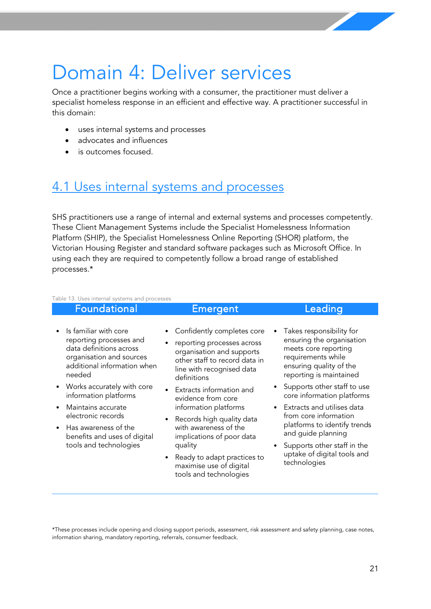# <span id="page-21-0"></span>Domain 4: Deliver services

Once a practitioner begins working with a consumer, the practitioner must deliver a specialist homeless response in an efficient and effective way. A practitioner successful in this domain:

- uses internal systems and processes
- advocates and influences
- is outcomes focused.

### <span id="page-21-1"></span>4.1 Uses internal systems and processes

SHS practitioners use a range of internal and external systems and processes competently. These Client Management Systems include the Specialist Homelessness Information Platform (SHIP), the Specialist Homelessness Online Reporting (SHOR) platform, the Victorian Housing Register and standard software packages such as Microsoft Office. In using each they are required to competently follow a broad range of established processes.\*

#### Table 13. Uses internal systems and processes

| <b>Foundational</b>                                                                                                                              |           | Emergent                                                                                                                                                           | Leading                                                                                                                                                   |
|--------------------------------------------------------------------------------------------------------------------------------------------------|-----------|--------------------------------------------------------------------------------------------------------------------------------------------------------------------|-----------------------------------------------------------------------------------------------------------------------------------------------------------|
| Is familiar with core<br>reporting processes and<br>data definitions across<br>organisation and sources<br>additional information when<br>needed |           | Confidently completes core<br>reporting processes across<br>organisation and supports<br>other staff to record data in<br>line with recognised data<br>definitions | Takes responsibility for<br>ensuring the organisation<br>meets core reporting<br>requirements while<br>ensuring quality of the<br>reporting is maintained |
| • Works accurately with core<br>information platforms                                                                                            |           | Extracts information and<br>evidence from core                                                                                                                     | Supports other staff to use<br>core information platforms                                                                                                 |
| Maintains accurate<br>electronic records                                                                                                         | $\bullet$ | information platforms<br>Records high quality data                                                                                                                 | • Extracts and utilises data<br>from core information                                                                                                     |
| • Has awareness of the<br>benefits and uses of digital<br>tools and technologies                                                                 |           | with awareness of the<br>implications of poor data<br>quality                                                                                                      | platforms to identify trends<br>and guide planning                                                                                                        |
|                                                                                                                                                  |           | Ready to adapt practices to<br>maximise use of digital<br>tools and technologies                                                                                   | Supports other staff in the<br>uptake of digital tools and<br>technologies                                                                                |

\*These processes include opening and closing support periods, assessment, risk assessment and safety planning, case notes, information sharing, mandatory reporting, referrals, consumer feedback.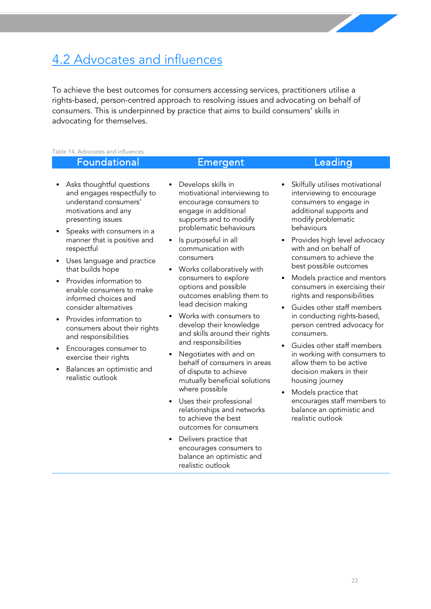## <span id="page-22-0"></span>4.2 Advocates and influences

To achieve the best outcomes for consumers accessing services, practitioners utilise a rights-based, person-centred approach to resolving issues and advocating on behalf of consumers. This is underpinned by practice that aims to build consumers' skills in advocating for themselves.

#### Table 14. Advocates and influences

### Foundational Emergent Leading

- Asks thoughtful questions and engages respectfully to understand consumers' motivations and any presenting issues
- Speaks with consumers in a manner that is positive and respectful
- Uses language and practice that builds hope
- Provides information to enable consumers to make informed choices and consider alternatives
- Provides information to consumers about their rights and responsibilities
- Encourages consumer to exercise their rights
- Balances an optimistic and realistic outlook
- Develops skills in motivational interviewing to encourage consumers to engage in additional supports and to modify problematic behaviours
- Is purposeful in all communication with consumers
- Works collaboratively with consumers to explore options and possible outcomes enabling them to lead decision making
- Works with consumers to develop their knowledge and skills around their rights and responsibilities
- Negotiates with and on behalf of consumers in areas of dispute to achieve mutually beneficial solutions where possible
- Uses their professional relationships and networks to achieve the best outcomes for consumers
- Delivers practice that encourages consumers to balance an optimistic and realistic outlook

- Skilfully utilises motivational interviewing to encourage consumers to engage in additional supports and modify problematic behaviours
- Provides high level advocacy with and on behalf of consumers to achieve the best possible outcomes
- Models practice and mentors consumers in exercising their rights and responsibilities
- Guides other staff members in conducting rights-based, person centred advocacy for consumers.
- Guides other staff members in working with consumers to allow them to be active decision makers in their housing journey
- Models practice that encourages staff members to balance an optimistic and realistic outlook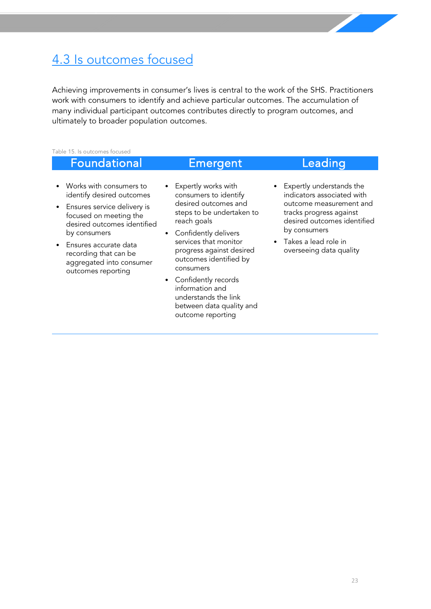## <span id="page-23-0"></span>4.3 Is outcomes focused

Achieving improvements in consumer's lives is central to the work of the SHS. Practitioners work with consumers to identify and achieve particular outcomes. The accumulation of many individual participant outcomes contributes directly to program outcomes, and ultimately to broader population outcomes.

Table 15. Is outcomes focused

#### Foundational Emergent Leading • Works with consumers to identify desired outcomes • Ensures service delivery is focused on meeting the desired outcomes identified by consumers • Ensures accurate data recording that can be aggregated into consumer outcomes reporting • Expertly works with consumers to identify desired outcomes and steps to be undertaken to reach goals • Confidently delivers services that monitor progress against desired outcomes identified by consumers • Confidently records information and understands the link between data quality and • Expertly understands the indicators associated with outcome measurement and tracks progress against desired outcomes identified by consumers • Takes a lead role in overseeing data quality

outcome reporting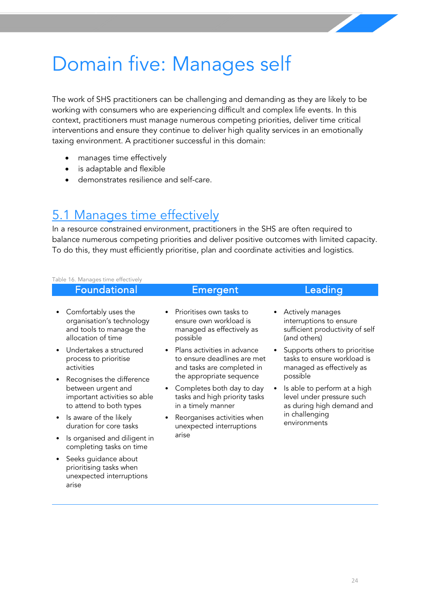# <span id="page-24-0"></span>Domain five: Manages self

The work of SHS practitioners can be challenging and demanding as they are likely to be working with consumers who are experiencing difficult and complex life events. In this context, practitioners must manage numerous competing priorities, deliver time critical interventions and ensure they continue to deliver high quality services in an emotionally taxing environment. A practitioner successful in this domain:

- manages time effectively
- is adaptable and flexible

arise

• demonstrates resilience and self-care.

### <span id="page-24-1"></span>5.1 Manages time effectively

In a resource constrained environment, practitioners in the SHS are often required to balance numerous competing priorities and deliver positive outcomes with limited capacity. To do this, they must efficiently prioritise, plan and coordinate activities and logistics.

| Table 16. Manages time effectively                                                                         |                                                                                                              |                                                                                                                 |
|------------------------------------------------------------------------------------------------------------|--------------------------------------------------------------------------------------------------------------|-----------------------------------------------------------------------------------------------------------------|
| Foundational                                                                                               | Emergent                                                                                                     | Leading                                                                                                         |
| Comfortably uses the<br>organisation's technology<br>and tools to manage the<br>allocation of time         | Prioritises own tasks to<br>ensure own workload is<br>managed as effectively as<br>possible                  | Actively manages<br>interruptions to ensure<br>sufficient productivity of self<br>(and others)                  |
| Undertakes a structured<br>process to prioritise<br>activities                                             | Plans activities in advance<br>$\bullet$<br>to ensure deadlines are met<br>and tasks are completed in        | Supports others to prioritise<br>tasks to ensure workload is<br>managed as effectively as                       |
| Recognises the difference<br>between urgent and<br>important activities so able<br>to attend to both types | the appropriate sequence<br>Completes both day to day<br>tasks and high priority tasks<br>in a timely manner | possible<br>Is able to perform at a high<br>$\bullet$<br>level under pressure such<br>as during high demand and |
| Is aware of the likely<br>duration for core tasks                                                          | Reorganises activities when<br>unexpected interruptions                                                      | in challenging<br>environments                                                                                  |
| Is organised and diligent in<br>completing tasks on time                                                   | arise                                                                                                        |                                                                                                                 |
| Seeks guidance about<br>prioritising tasks when<br>unexpected interruptions                                |                                                                                                              |                                                                                                                 |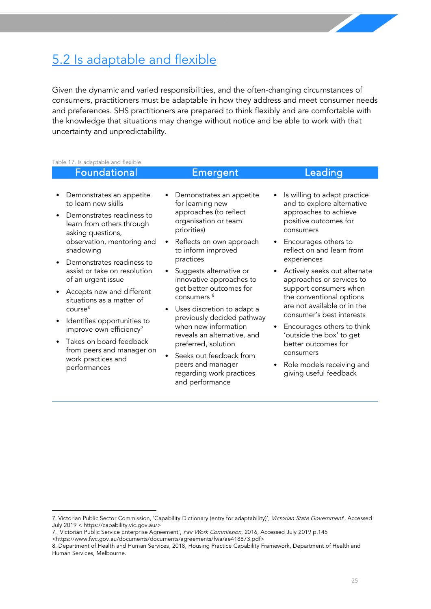## <span id="page-25-0"></span>5.2 Is adaptable and flexible

Given the dynamic and varied responsibilities, and the often-changing circumstances of consumers, practitioners must be adaptable in how they address and meet consumer needs and preferences. SHS practitioners are prepared to think flexibly and are comfortable with the knowledge that situations may change without notice and be able to work with that uncertainty and unpredictability.

Table 17. Is adaptable and flexible

|           | Foundational                                                                |           | Emergent                                                                                                                                 |  | Leading                                                                                                                   |
|-----------|-----------------------------------------------------------------------------|-----------|------------------------------------------------------------------------------------------------------------------------------------------|--|---------------------------------------------------------------------------------------------------------------------------|
|           |                                                                             |           |                                                                                                                                          |  |                                                                                                                           |
|           | Demonstrates an appetite<br>to learn new skills                             |           | • Demonstrates an appetite<br>for learning new<br>approaches (to reflect<br>organisation or team<br>priorities)                          |  | Is willing to adapt practice<br>and to explore alternative<br>approaches to achieve<br>positive outcomes for<br>consumers |
| $\bullet$ | Demonstrates readiness to<br>learn from others through<br>asking questions, |           |                                                                                                                                          |  |                                                                                                                           |
|           | observation, mentoring and<br>shadowing                                     | $\bullet$ | Reflects on own approach<br>to inform improved                                                                                           |  | Encourages others to<br>reflect on and learn from                                                                         |
|           | Demonstrates readiness to                                                   |           | practices                                                                                                                                |  | experiences                                                                                                               |
|           | assist or take on resolution<br>of an urgent issue                          | $\bullet$ | Suggests alternative or<br>innovative approaches to                                                                                      |  | Actively seeks out alternate<br>approaches or services to                                                                 |
|           | Accepts new and different<br>situations as a matter of                      |           | get better outcomes for<br>consumers <sup>8</sup>                                                                                        |  | support consumers when<br>the conventional options<br>are not available or in the                                         |
|           | course <sup>6</sup>                                                         |           | • Uses discretion to adapt a<br>previously decided pathway<br>when new information<br>reveals an alternative, and<br>preferred, solution |  |                                                                                                                           |
|           | Identifies opportunities to<br>improve own efficiency <sup>7</sup>          |           |                                                                                                                                          |  | consumer's best interests<br>Encourages others to think                                                                   |
|           | • Takes on board feedback<br>from peers and manager on                      |           |                                                                                                                                          |  | 'outside the box' to get<br>better outcomes for                                                                           |
|           | work practices and<br>performances                                          |           | Seeks out feedback from                                                                                                                  |  | consumers                                                                                                                 |
|           |                                                                             |           | peers and manager<br>regarding work practices                                                                                            |  | Role models receiving and<br>giving useful feedback                                                                       |

and performance

<span id="page-25-1"></span><sup>7.</sup> Victorian Public Sector Commission, 'Capability Dictionary (entry for adaptability)', Victorian State Government', Accessed July 2019 < [https://capability.vic.gov.au/>](https://capability.vic.gov.au/)

<span id="page-25-2"></span><sup>7. &#</sup>x27;Victorian Public Service Enterprise Agreement', Fair Work Commission, 2016, Accessed July 2019 p.145

<sup>&</sup>lt;https://www.fwc.gov.au/documents/documents/agreements/fwa/ae418873.pdf>

<span id="page-25-3"></span><sup>8.</sup> Department of Health and Human Services, 2018, Housing Practice Capability Framework, Department of Health and Human Services, Melbourne.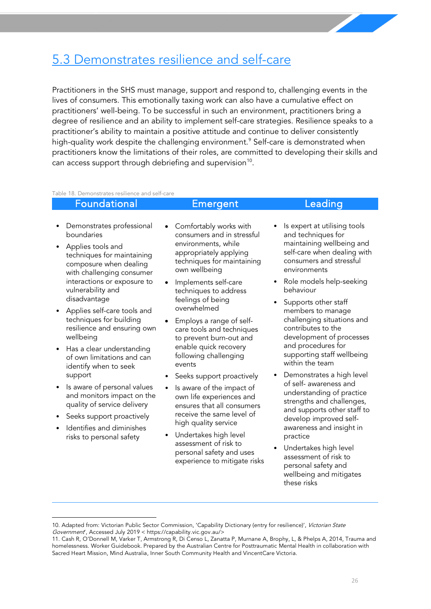## <span id="page-26-0"></span>5.3 Demonstrates resilience and self-care

Practitioners in the SHS must manage, support and respond to, challenging events in the lives of consumers. This emotionally taxing work can also have a cumulative effect on practitioners' well-being. To be successful in such an environment, practitioners bring a degree of resilience and an ability to implement self-care strategies. Resilience speaks to a practitioner's ability to maintain a positive attitude and continue to deliver consistently high-quality work despite the challenging environment.<sup>9</sup> Self-care is demonstrated when practitioners know the limitations of their roles, are committed to developing their skills and can access support through debriefing and supervision<sup>[10](#page-26-2)</sup>.

Table 18. Demonstrates resilience and self-care

#### Foundational Emergent Leading • Demonstrates professional boundaries • Applies tools and techniques for maintaining composure when dealing with challenging consumer interactions or exposure to vulnerability and disadvantage • Applies self-care tools and techniques for building resilience and ensuring own wellbeing • Has a clear understanding of own limitations and can identify when to seek support Is aware of personal values Comfortably works with consumers and in stressful environments, while appropriately applying techniques for maintaining own wellbeing • Implements self-care techniques to address feelings of being overwhelmed • Employs a range of selfcare tools and techniques to prevent burn-out and enable quick recovery following challenging events Seeks support proactively Is aware of the impact of and techniques for consumers and stressful environments behaviour Supports other staff members to manage contributes to the and procedures for within the team of self- awareness and

- and monitors impact on the quality of service delivery
- Seeks support proactively
- Identifies and diminishes risks to personal safety
- own life experiences and ensures that all consumers receive the same level of high quality service
- Undertakes high level assessment of risk to personal safety and uses experience to mitigate risks
- Is expert at utilising tools maintaining wellbeing and self-care when dealing with
- Role models help-seeking
- challenging situations and development of processes supporting staff wellbeing
- Demonstrates a high level understanding of practice strengths and challenges, and supports other staff to develop improved selfawareness and insight in practice
- Undertakes high level assessment of risk to personal safety and wellbeing and mitigates these risks

<span id="page-26-1"></span><sup>10.</sup> Adapted from: Victorian Public Sector Commission, 'Capability Dictionary (entry for resilience)', Victorian State Government', Accessed July 2019 < [https://capability.vic.gov.au/>](https://capability.vic.gov.au/)

<span id="page-26-2"></span><sup>11.</sup> Cash R, O'Donnell M, Varker T, Armstrong R, Di Censo L, Zanatta P, Murnane A, Brophy, L, & Phelps A, 2014, Trauma and homelessness. Worker Guidebook. Prepared by the Australian Centre for Posttraumatic Mental Health in collaboration with Sacred Heart Mission, Mind Australia, Inner South Community Health and VincentCare Victoria.